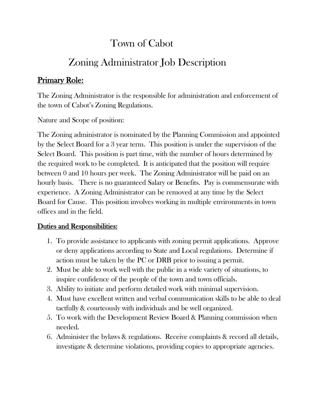## Town of Cabot

# Zoning Administrator Job Description

### Primary Role:

The Zoning Administrator is the responsible for administration and enforcement of the town of Cabot's Zoning Regulations.

Nature and Scope of position:

The Zoning administrator is nominated by the Planning Commission and appointed by the Select Board for a 3 year term. This position is under the supervision of the Select Board. This position is part time, with the number of hours determined by the required work to be completed. It is anticipated that the position will require between 0 and 10 hours per week. The Zoning Administrator will be paid on an hourly basis. There is no guaranteed Salary or Benefits. Pay is commensurate with experience. A Zoning Administrator can be removed at any time by the Select Board for Cause. This position involves working in multiple environments in town offices and in the field.

#### Duties and Responsibilities:

- 1. To provide assistance to applicants with zoning permit applications. Approve or deny applications according to State and Local regulations. Determine if action must be taken by the PC or DRB prior to issuing a permit.
- 2. Must be able to work well with the public in a wide variety of situations, to inspire confidence of the people of the town and town officials.
- 3. Ability to initiate and perform detailed work with minimal supervision.
- 4. Must have excellent written and verbal communication skills to be able to deal tactfully & courteously with individuals and be well organized.
- 5. To work with the Development Review Board & Planning commission when needed.
- 6. Administer the bylaws & regulations. Receive complaints & record all details, investigate & determine violations, providing copies to appropriate agencies.